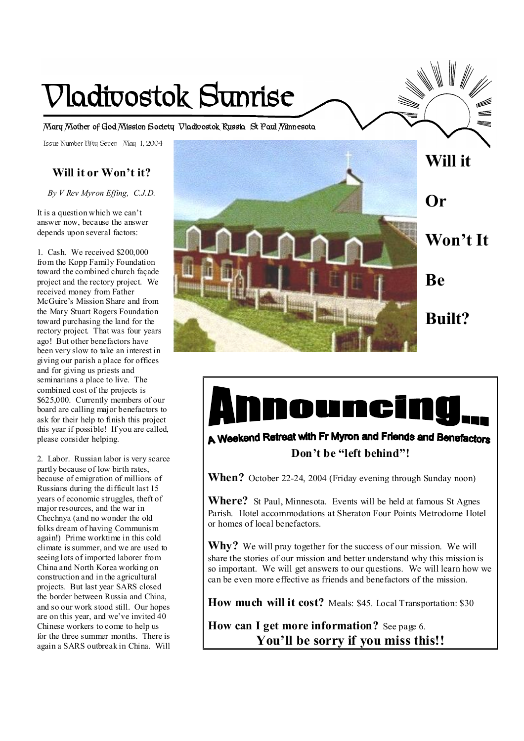# **Vladivostok Sunrise**

**Mary Mother of God Mission Society Vladivostok Russia St Paul Minnesota** 

Issue Number Fifty Seven May 1, 2004

# **Will it or Won't it?**

*By V Rev Myron Effing, C.J.D.* 

It is a question which we can't answer now, because the answer depends upon several factors:

1. Cash. We received \$200,000 from the Kopp Family Foundation toward the combined church façade project and the rectory project. We received money from Father McGuire's Mission Share and from the Mary Stuart Rogers Foundation toward purchasing the land for the rectory project. That was four years ago! But other benefactors have been very slow to take an interest in giving our parish a place for offices and for giving us priests and seminarians a place to live. The combined cost of the projects is \$625,000. Currently members of our board are calling major benefactors to ask for their help to finish this project this year if possible! If you are called, please consider helping.

2. Labor. Russian labor is very scarce partly because of low birth rates, because of emigration of millions of Russians during the difficult last 15 years of economic struggles, theft of major resources, and the war in Chechnya (and no wonder the old folks dream of having Communism again!) Prime worktime in this cold climate is summer, and we are used to seeing lots of imported laborer from China and North Korea working on construction and in the agricultural projects. But last year SARS closed the border between Russia and China, and so our work stood still. Our hopes are on this year, and we've invited 40 Chinese workers to come to help us for the three summer months. There is again a SARS outbreak in China. Will



# Dunci

A Weekend Retreat with Fr Myron and Friends and Benefactors **Don't be "left behind"!** 

**When?** October 22-24, 2004 (Friday evening through Sunday noon)

**Where?** St Paul, Minnesota. Events will be held at famous St Agnes Parish. Hotel accommodations at Sheraton Four Points Metrodome Hotel or homes of local benefactors.

**Why?** We will pray together for the success of our mission. We will share the stories of our mission and better understand why this mission is so important. We will get answers to our questions. We will learn how we can be even more effective as friends and benefactors of the mission.

**How much will it cost?** Meals: \$45. Local Transportation: \$30

**How can I get more information?** See page 6. **You'll be sorry if you miss this!!**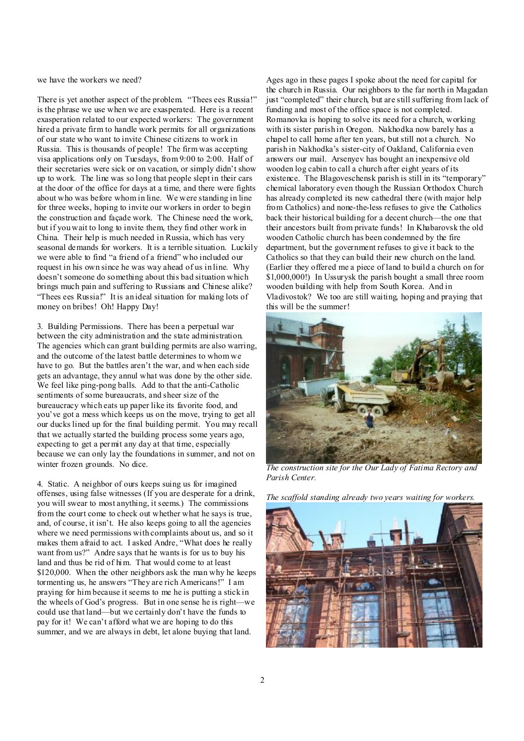we have the workers we need?

There is yet another aspect of the problem. "Thees ees Russia!" is the phrase we use when we are exasperated. Here is a recent exasperation related to our expected workers: The government hired a private firm to handle work permits for all organizations of our state who want to invite Chinese citizens to work in Russia. This is thousands of people! The firm was accepting visa applications only on Tuesdays, from 9:00 to 2:00. Half of their secretaries were sick or on vacation, or simply didn't show up to work. The line was so long that people slept in their cars at the door of the office for days at a time, and there were fights about who was before whom in line. We were standing in line for three weeks, hoping to invite our workers in order to begin the construction and façade work. The Chinese need the work, but if you wait to long to invite them, they find other work in China. Their help is much needed in Russia, which has very seasonal demands for workers. It is a terrible situation. Luckily we were able to find "a friend of a friend" who included our request in his own since he was way ahead of us in line. Why doesn't someone do something about this bad situation which brings much pain and suffering to Russians and Chinese alike? "Thees ees Russia!" It is an ideal situation for making lots of money on bribes! Oh! Happy Day!

3. Building Permissions. There has been a perpetual war between the city administration and the state administration. The agencies which can grant building permits are also warring, and the outcome of the latest battle determines to whom we have to go. But the battles aren't the war, and when each side gets an advantage, they annul what was done by the other side. We feel like ping-pong balls. Add to that the anti-Catholic sentiments of some bureaucrats, and sheer size of the bureaucracy which eats up paper like its favorite food, and you've got a mess which keeps us on the move, trying to get all our ducks lined up for the final building permit. You may recall that we actually started the building process some years ago, expecting to get a permit any day at that time, especially because we can only lay the foundations in summer, and not on winter frozen grounds. No dice.

4. Static. A neighbor of ours keeps suing us for imagined offenses, using false witnesses (If you are desperate for a drink, you will swear to most anything, it seems.) The commissions from the court come to check out whether what he says is true, and, of course, it isn't. He also keeps going to all the agencies where we need permissions with complaints about us, and so it makes them afraid to act. I asked Andre, "What does he really want from us?" Andre says that he wants is for us to buy his land and thus be rid of him. That would come to at least \$120,000. When the other neighbors ask the man why he keeps tormenting us, he answers "They are rich Americans!" I am praying for him because it seems to me he is putting a stick in the wheels of God's progress. But in one sense he is right—we could use that land—but we certainly don't have the funds to pay for it! We can't afford what we are hoping to do this summer, and we are always in debt, let alone buying that land.

Ages ago in these pages I spoke about the need for capital for the church in Russia. Our neighbors to the far north in Magadan just "completed" their church, but are still suffering from lack of funding and most of the office space is not completed. Romanovka is hoping to solve its need for a church, working with its sister parish in Oregon. Nakhodka now barely has a chapel to call home after ten years, but still not a church. No parish in Nakhodka's sister-city of Oakland, California even answers our mail. Arsenyev has bought an inexpensive old wooden log cabin to call a church after eight years of its existence. The Blagoveschensk parish is still in its "temporary" chemical laboratory even though the Russian Orthodox Church has already completed its new cathedral there (with major help from Catholics) and none-the-less refuses to give the Catholics back their historical building for a decent church—the one that their ancestors built from private funds! In Khabarovsk the old wooden Catholic church has been condemned by the fire department, but the government refuses to give it back to the Catholics so that they can build their new church on the land. (Earlier they offered me a piece of land to build a church on for \$1,000,000!) In Ussurysk the parish bought a small three room wooden building with help from South Korea. And in Vladivostok? We too are still waiting, hoping and praying that this will be the summer!



*The construction site for the Our Lady of Fatima Rectory and Parish Center.* 



*The scaffold standing already two years waiting for workers.*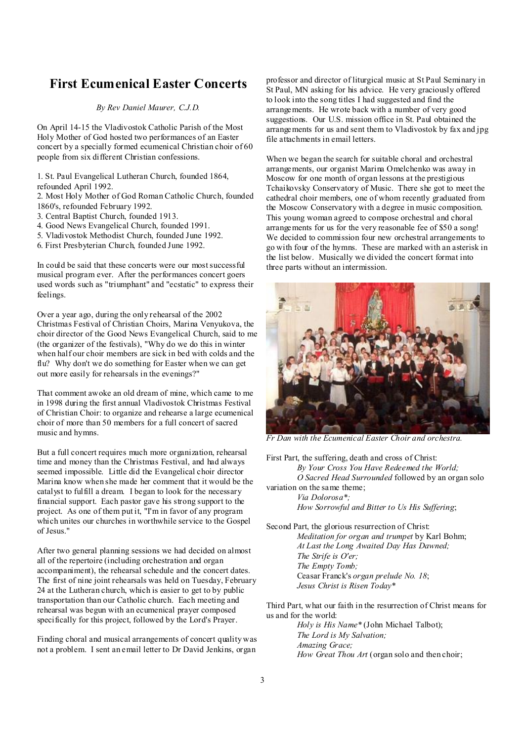# **First Ecumenical Easter Concerts**

#### *By Rev Daniel Maurer, C.J.D.*

On April 14-15 the Vladivostok Catholic Parish of the Most Holy Mother of God hosted two performances of an Easter concert by a specially formed ecumenical Christian choir of 60 people from six different Christian confessions.

1. St. Paul Evangelical Lutheran Church, founded 1864, refounded April 1992.

2. Most Holy Mother of God Roman Catholic Church, founded 1860's, refounded February 1992.

- 3. Central Baptist Church, founded 1913.
- 4. Good News Evangelical Church, founded 1991.
- 5. Vladivostok Methodist Church, founded June 1992.
- 6. First Presbyterian Church, founded June 1992.

In could be said that these concerts were our mostsuccessful musical program ever. After the performances concert goers used words such as "triumphant" and "ecstatic" to express their feelings.

Over a year ago, during the only rehearsal of the 2002 Christmas Festival of Christian Choirs, Marina Venyukova, the choir director of the Good News Evangelical Church, said to me (the organizer of the festivals), "Why do we do this in winter when half our choir members are sick in bed with colds and the flu? Why don't we do something for Easter when we can get out more easily for rehearsals in the evenings?"

That comment awoke an old dream of mine, which came to me in 1998 during the first annual Vladivostok Christmas Festival of Christian Choir: to organize and rehearse a large ecumenical choir of more than 50 members for a full concert of sacred music and hymns.

But a full concert requires much more organization, rehearsal time and money than the Christmas Festival, and had always seemed impossible. Little did the Evangelical choir director Marina know when she made her comment that it would be the catalyst to fulfill a dream. I began to look for the necessary financial support. Each pastor gave his strong support to the project. As one of them put it, "I'm in favor of any program which unites our churches in worthwhile service to the Gospel of Jesus."

After two general planning sessions we had decided on almost all of the repertoire (including orchestration and organ accompaniment), the rehearsal schedule and the concert dates. The first of nine joint rehearsals was held on Tuesday, February 24 at the Lutheran church, which is easier to get to by public transportation than our Catholic church. Each meeting and rehearsal was begun with an ecumenical prayer composed specifically for this project, followed by the Lord's Prayer.

Finding choral and musical arrangements of concert quality was not a problem. I sent an email letter to Dr David Jenkins, organ

professor and director of liturgical music at St Paul Seminary in St Paul, MN asking for his advice. He very graciously offered to look into the song titles I had suggested and find the arrangements. He wrote back with a number of very good suggestions. Our U.S. mission office in St. Paul obtained the arrangements for us and sent them to Vladivostok by fax and jpg file attachments in email letters.

When we began the search for suitable choral and orchestral arrangements, our organist Marina Omelchenko was away in Moscow for one month of organ lessons at the prestigious Tchaikovsky Conservatory of Music. There she got to meet the cathedral choir members, one of whom recently graduated from the Moscow Conservatory with a degree in music composition. This young woman agreed to compose orchestral and choral arrangements for us for the very reasonable fee of \$50 a song! We decided to commission four new orchestral arrangements to go with four of the hymns. These are marked with an asterisk in the list below. Musically we divided the concert format into three parts without an intermission.



*Fr Dan with the Ecumenical Easter Choir and orchestra.* 

First Part, the suffering, death and cross of Christ: *By Your Cross You Have Redeemed the World; O Sacred Head Surrounded* followed by an organ solo variation on the same theme; *Via Dolorosa\*;* 

*How Sorrowful and Bitter to Us His Suffering*;

Second Part, the glorious resurrection of Christ: *Meditation for organ and trumpet* by Karl Bohm; *At Last the Long Awaited Day Has Dawned; The Strife is O'er; The Empty Tomb;*  Ceasar Franck's *organ prelude No. 18*; *Jesus Christ is Risen Today*\*

Third Part, what our faith in the resurrection of Christ means for us and for the world:

*Holy is His Name*\* (John Michael Talbot); *The Lord is My Salvation; Amazing Grace; How Great Thou Art* (organ solo and then choir;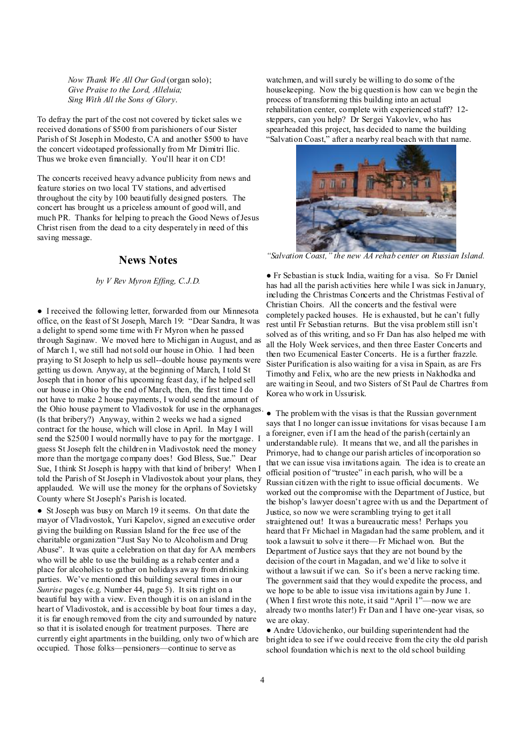*Now Thank We All Our God* (organ solo); *Give Praise to the Lord, Alleluia; Sing With All the Sons of Glory*.

To defray the part of the cost not covered by ticket sales we received donations of \$500 from parishioners of our Sister Parish of St Joseph in Modesto, CA and another \$500 to have the concert videotaped professionally from Mr Dimitri Ilic. Thus we broke even financially. You'll hear it on CD!

The concerts received heavy advance publicity from news and feature stories on two local TV stations, and advertised throughout the city by 100 beautifully designed posters. The concert has brought us a priceless amount of good will, and much PR. Thanks for helping to preach the Good News ofJesus Christ risen from the dead to a city desperately in need of this saving message.

#### **News Notes**

#### *by V Rev Myron Effing, C.J.D.*

● I received the following letter, forwarded from our Minnesota office, on the feast of St Joseph, March 19: "Dear Sandra, It was a delight to spend some time with Fr Myron when he passed through Saginaw. We moved here to Michigan in August, and as of March 1, we still had notsold our house in Ohio. I had been praying to St Joseph to help us sell--double house payments were getting us down. Anyway, at the beginning of March, I told St Joseph that in honor of his upcoming feast day, if he helped sell our house in Ohio by the end of March, then, the first time I do not have to make 2 house payments, I would send the amount of the Ohio house payment to Vladivostok for use in the orphanages. ● The problem with the visas is that the Russian government (Is that bribery?) Anyway, within 2 weeks we had a signed contract for the house, which will close in April. In May I will send the \$2500 I would normally have to pay for the mortgage. I guess St Joseph felt the children in Vladivostok need the money more than the mortgage company does! God Bless, Sue." Dear Sue, I think St Joseph is happy with that kind of bribery! When I told the Parish of St Joseph in Vladivostok about your plans, they applauded. We will use the money for the orphans of Sovietsky County where St Joseph's Parish is located.

● St Joseph was busy on March 19 it seems. On that date the mayor of Vladivostok, Yuri Kapelov, signed an executive order giving the building on Russian Island for the free use of the charitable organization "Just Say No to Alcoholism and Drug Abuse". It was quite a celebration on that day for AA members who will be able to use the building as a rehab center and a place for alcoholics to gather on holidays away from drinking parties. We've mentioned this building several times in our *Sunrise* pages (e.g. Number 44, page 5). It sits right on a beautiful bay with a view. Even though it is on an island in the heart of Vladivostok, and is accessible by boat four times a day, it is far enough removed from the city and surrounded by nature so that it is isolated enough for treatment purposes. There are currently eight apartments in the building, only two of which are occupied. Those folks—pensioners—continue to serve as

watchmen, and will surely be willing to do some of the housekeeping. Now the big question is how can we begin the process of transforming this building into an actual rehabilitation center, complete with experienced staff? 12 steppers, can you help? Dr Sergei Yakovlev, who has spearheaded this project, has decided to name the building "Salvation Coast," after a nearby real beach with that name.



*"Salvation Coast," the new AA rehab center on Russian Island.* 

● Fr Sebastian is stuck India, waiting for a visa. So Fr Daniel has had all the parish activities here while I was sick in January, including the Christmas Concerts and the Christmas Festival of Christian Choirs. All the concerts and the festival were completely packed houses. He is exhausted, but he can't fully rest until Fr Sebastian returns. But the visa problem still isn't solved as of this writing, and so Fr Dan has also helped me with all the Holy Week services, and then three Easter Concerts and then two Ecumenical Easter Concerts. He is a further frazzle. Sister Purification is also waiting for a visa in Spain, as are Frs Timothy and Felix, who are the new priests in Nakhodka and are waiting in Seoul, and two Sisters of St Paul de Chartres from Korea who work in Ussurisk.

says that I no longer can issue invitations for visas because I am a foreigner, even if I am the head of the parish (certainly an understandable rule). It means that we, and all the parishes in Primorye, had to change our parish articles of incorporation so that we can issue visa invitations again. The idea is to create an official position of "trustee" in each parish, who will be a Russian citizen with the right to issue official documents. We worked out the compromise with the Department of Justice, but the bishop's lawyer doesn't agree with us and the Department of Justice, so now we were scrambling trying to get it all straightened out! It was a bureaucratic mess! Perhaps you heard that Fr Michael in Magadan had the same problem, and it took a lawsuit to solve it there—Fr Michael won. But the Department of Justice says that they are not bound by the decision of the court in Magadan, and we'd like to solve it without a law suit if we can. So it's been a nerve racking time. The government said that they would expedite the process, and we hope to be able to issue visa invitations again by June 1. (When I first wrote this note, it said "April 1"—now we are already two months later!) Fr Dan and I have one-year visas, so we are okay.

● Andre Udovichenko, our building superintendent had the bright idea to see if we could receive from the city the old parish school foundation which is next to the old school building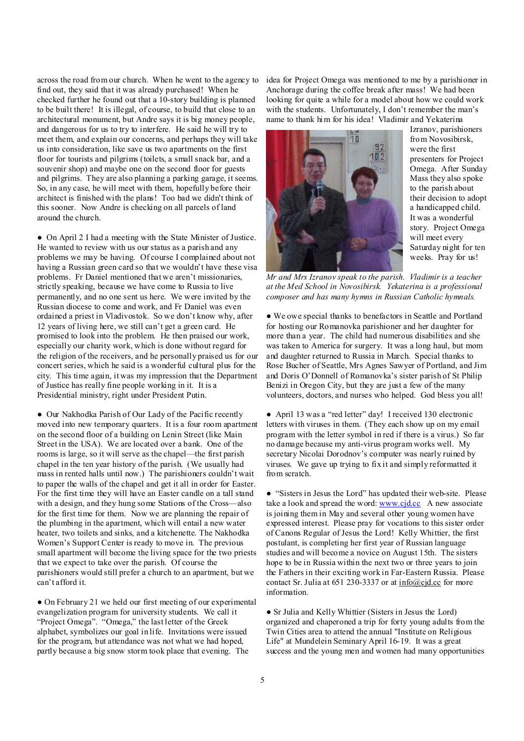across the road from our church. When he went to the agency to find out, they said that it was already purchased! When he checked further he found out that a 10-story building is planned to be built there! It is illegal, of course, to build that close to an architectural monument, but Andre says it is big money people, and dangerous for us to try to interfere. He said he will try to meet them, and explain our concerns, and perhaps they will take us into consideration, like save us two apartments on the first floor for tourists and pilgrims (toilets, a small snack bar, and a souvenir shop) and maybe one on the second floor for guests and pilgrims. They are also planning a parking garage, it seems. So, in any case, he will meet with them, hopefully before their architect is finished with the plans! Too bad we didn't think of this sooner. Now Andre is checking on all parcels of land around the church.

● On April 2 I had a meeting with the State Minister of Justice. He wanted to review with us our status as a parish and any problems we may be having. Of course I complained about not having a Russian green card so that we wouldn't have these visa problems. Fr Daniel mentioned that we aren't missionaries, strictly speaking, because we have come to Russia to live permanently, and no one sent us here. We were invited by the Russian diocese to come and work, and Fr Daniel was even ordained a priest in Vladivostok. So we don't know why, after 12 years of living here, we still can't get a green card. He promised to look into the problem. He then praised our work, especially our charity work, which is done without regard for the religion of the receivers, and he personally praised us for our concert series, which he said is a wonderful cultural plus for the city. This time again, it was my impression that the Department of Justice has really fine people working in it. It is a Presidential ministry, right under President Putin.

● Our Nakhodka Parish of Our Lady of the Pacific recently moved into new temporary quarters. It is a four room apartment on the second floor of a building on Lenin Street (like Main Street in the USA). We are located over a bank. One of the rooms is large, so it will serve as the chapel—the first parish chapel in the ten year history of the parish. (We usually had mass in rented halls until now.) The parishioners couldn't wait to paper the walls of the chapel and get it all in order for Easter. For the first time they will have an Easter candle on a tall stand with a design, and they hung some Stations of the Cross—also for the first time for them. Now we are planning the repair of the plumbing in the apartment, which will entail a new water heater, two toilets and sinks, and a kitchenette. The Nakhodka Women's Support Center is ready to move in. The previous small apartment will become the living space for the two priests that we expect to take over the parish. Of course the parishioners would still prefer a church to an apartment, but we can't afford it.

• On February 21 we held our first meeting of our experimental evangelization program for university students. We call it "Project Omega". "Omega," the last letter of the Greek alphabet, symbolizes our goal in life. Invitations were issued for the program, but attendance was not what we had hoped, partly because a big snow storm took place that evening. The

idea for Project Omega was mentioned to me by a parishioner in Anchorage during the coffee break after mass! We had been looking for quite a while for a model about how we could work with the students. Unfortunately, I don't remember the man's name to thank him for his idea! Vladimir and Yekaterina



Izranov, parishioners from Novosibirsk, were the first presenters for Project Omega. After Sunday Mass they also spoke to the parish about their decision to adopt a handicapped child. It was a wonderful story. Project Omega will meet every Saturday night for ten weeks. Pray for us!

*Mr and Mrs Izranov speak to the parish. Vladimir is a teacher at the Med School in Novosibirsk. Yekaterina is a professional composer and has many hymns in Russian Catholic hymnals.*

• We owe special thanks to benefactors in Seattle and Portland for hosting our Romanovka parishioner and her daughter for more than a year. The child had numerous disabilities and she was taken to America for surgery. It was a long haul, but mom and daughter returned to Russia in March. Special thanks to Rose Bucher of Seattle, Mrs Agnes Sawyer of Portland, and Jim and Doris O'Donnell of Romanovka's sister parish of St Philip Benizi in Oregon City, but they are just a few of the many volunteers, doctors, and nurses who helped. God bless you all!

● April 13 was a "red letter" day! I received 130 electronic letters with viruses in them. (They each show up on my email program with the letter symbol in red if there is a virus.) So far no damage because my anti-virus program works well. My secretary Nicolai Dorodnov's computer was nearly ruined by viruses. We gave up trying to fix it and simply reformatted it from scratch.

● "Sisters in Jesus the Lord" has updated their web-site. Please take a look and spread the word: [www.cjd.cc](http://www.cjd.cc) A new associate is joining them in May and several other young women have expressed interest. Please pray for vocations to this sister order of Canons Regular of Jesus the Lord! Kelly Whittier, the first postulant, is completing her first year of Russian language studies and will become a novice on August 15th. The sisters hope to be in Russia within the next two or three years to join the Fathers in their exciting work in Far-Eastern Russia. Please contact Sr. Julia at 651 230-3337 or at info@cid.cc for more information.

● Sr Julia and Kelly Whittier (Sisters in Jesus the Lord) organized and chaperoned a trip for forty young adults from the Twin Cities area to attend the annual "Institute on Religious Life" at Mundelein Seminary April 16-19. It was a great success and the young men and women had many opportunities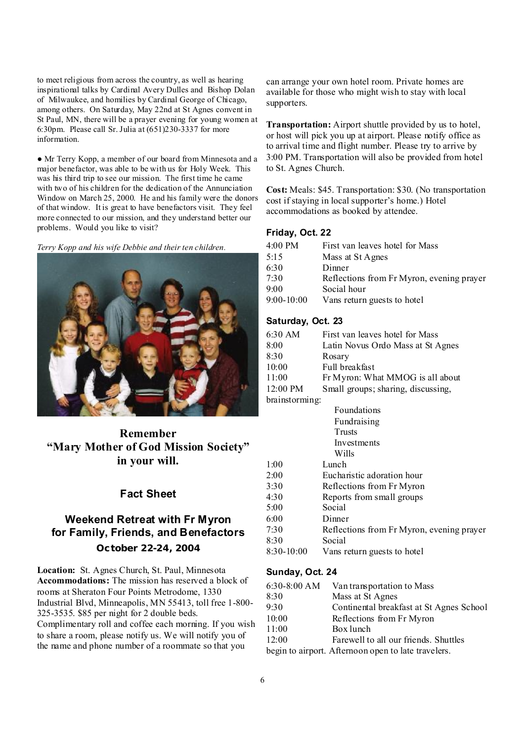to meet religious from across the country, as well as hearing inspirational talks by Cardinal Avery Dulles and Bishop Dolan of Milwaukee, and homilies by Cardinal George of Chicago, among others. On Saturday, May 22nd at St Agnes convent in St Paul, MN, there will be a prayer evening for young women at 6:30pm. Please call Sr. Julia at (651)230-3337 for more information.

● Mr Terry Kopp, a member of our board from Minnesota and a major benefactor, was able to be with us for Holy Week. This was his third trip to see our mission. The first time he came with two of his children for the dedication of the Annunciation Window on March 25, 2000. He and his family were the donors of that window. It is great to have benefactors visit. They feel more connected to our mission, and they understand better our problems. Would you like to visit?

*Terry Kopp and his wife Debbie and their ten children.* 



**Remember "Mary Mother of God Mission Society" in your will.** 

### **Fact Sheet**

# **Weekend Retreat with Fr Myron for Family, Friends, and Benefactors**

**October 22-24, 2004**

**Location:** St. Agnes Church, St. Paul, Minnesota **Accommodations:** The mission has reserved a block of rooms at Sheraton Four Points Metrodome, 1330 Industrial Blvd, Minneapolis, MN 55413, toll free 1-800- 325-3535. \$85 per night for 2 double beds. Complimentary roll and coffee each morning. If you wish to share a room, please notify us. We will notify you of the name and phone number of a roommate so that you

can arrange your own hotel room. Private homes are available for those who might wish to stay with local supporters.

**Transportation:** Airport shuttle provided by us to hotel, or host will pick you up at airport. Please notify office as to arrival time and flight number. Please try to arrive by 3:00 PM. Transportation will also be provided from hotel to St. Agnes Church.

**Cost:** Meals: \$45. Transportation: \$30. (No transportation cost if staying in local supporter's home.) Hotel accommodations as booked by attendee.

#### **Friday, Oct. 22**

| 4:00 PM      | First van leaves hotel for Mass           |
|--------------|-------------------------------------------|
| 5:15         | Mass at St Agnes                          |
| 6:30         | Dinner                                    |
| 7.30         | Reflections from Fr Myron, evening prayer |
| 9:00         | Social hour                               |
| $9:00-10:00$ | Vans return guests to hotel               |

#### **Saturday, Oct. 23**

| 6:30 AM        | First van leaves hotel for Mass           |  |
|----------------|-------------------------------------------|--|
| 8:00           | Latin Novus Ordo Mass at St Agnes         |  |
| 8:30           | Rosary                                    |  |
| 10:00          | Full breakfast                            |  |
| 11:00          | Fr Myron: What MMOG is all about          |  |
| 12:00 PM       | Small groups; sharing, discussing,        |  |
| brainstorming: |                                           |  |
|                | Foundations                               |  |
|                | Fundraising                               |  |
|                | Trusts                                    |  |
|                | Investments                               |  |
|                | Wills                                     |  |
| 1:00           | Lunch                                     |  |
| 2:00           | Eucharistic adoration hour                |  |
| 3:30           | Reflections from Fr Myron                 |  |
| 4:30           | Reports from small groups                 |  |
| 5:00           | Social                                    |  |
| 6:00           | Dinner                                    |  |
| 7:30           | Reflections from Fr Myron, evening prayer |  |
| 8:30           | Social                                    |  |
| 8:30-10:00     | Vans return guests to hotel               |  |
|                |                                           |  |

#### **Sunday, Oct. 24**

|       | 6:30-8:00 AM Van transportation to Mass           |
|-------|---------------------------------------------------|
| 8:30  | Mass at St Agnes                                  |
| 9:30  | Continental breakfast at St Agnes School          |
| 10:00 | Reflections from Fr Myron                         |
| 11:00 | Box lunch                                         |
| 12:00 | Farewell to all our friends. Shuttles             |
|       | begin to girport Afternoon open to late travelers |

begin to airport. Afternoon open to late travelers.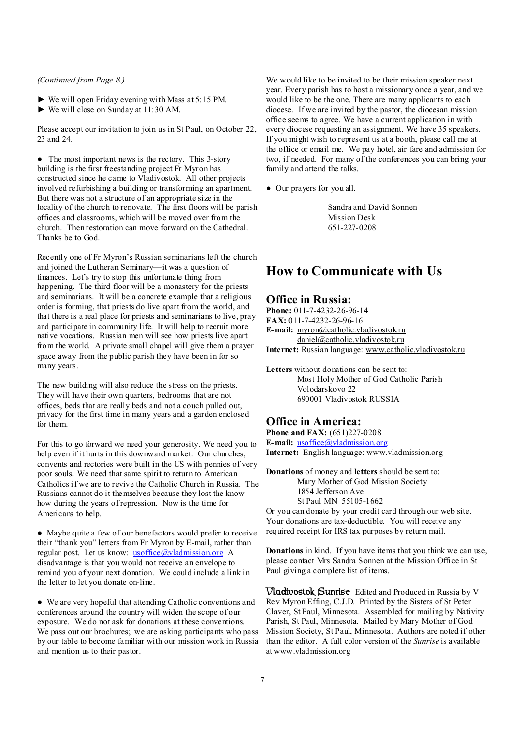#### *(Continued from Page 8.)*

- ► We will open Friday evening with Mass at 5:15 PM.
- ► We will close on Sunday at 11:30 AM.

Please accept our invitation to join us in St Paul, on October 22, 23 and 24.

• The most important news is the rectory. This 3-story building is the first freestanding project Fr Myron has constructed since he came to Vladivostok. All other projects involved refurbishing a building or transforming an apartment. But there was not a structure of an appropriate size in the locality of the church to renovate. The first floors will be parish offices and classrooms, which will be moved over from the church. Then restoration can move forward on the Cathedral. Thanks be to God.

Recently one of Fr Myron's Russian seminarians left the church and joined the Lutheran Seminary—it was a question of finances. Let's try to stop this unfortunate thing from happening. The third floor will be a monastery for the priests and seminarians. It will be a concrete example that a religious order is forming, that priests do live apart from the world, and that there is a real place for priests and seminarians to live, pray and participate in community life. It will help to recruit more native vocations. Russian men will see how priests live apart from the world. A private small chapel will give them a prayer space away from the public parish they have been in for so many years.

The new building will also reduce the stress on the priests. They will have their own quarters, bedrooms that are not offices, beds that are really beds and not a couch pulled out, privacy for the first time in many years and a garden enclosed for them.

For this to go forward we need your generosity. We need you to help even if it hurts in this downward market. Our churches, convents and rectories were built in the US with pennies of very poor souls. We need that same spirit to return to American Catholics if we are to revive the Catholic Church in Russia. The Russians cannot do it themselves because they lost the knowhow during the years of repression. Now is the time for Americans to help.

● Maybe quite a few of our benefactors would prefer to receive their "thank you" letters from Fr Myron by E-mail, rather than regular post. Let us know: <u>[usoffice@vladmission.org](mailto:usoffice@vladmission.org)</u> A disadvantage is that you would not receive an envelope to remind you of your next donation. We could include a link in the letter to let you donate on-line.

● We are very hopeful that attending Catholic conventions and conferences around the country will widen the scope of our exposure. We do not ask for donations at these conventions. We pass out our brochures; we are asking participants who pass by our table to become familiar with our mission work in Russia and mention us to their pastor.

We would like to be invited to be their mission speaker next year. Every parish has to host a missionary once a year, and we would like to be the one. There are many applicants to each diocese. If we are invited by the pastor, the diocesan mission office seems to agree. We have a current application in with every diocese requesting an assignment. We have 35 speakers. If you might wish to represent us at a booth, please call me at the office or email me. We pay hotel, air fare and admission for two, if needed. For many of the conferences you can bring your family and attend the talks.

● Our prayers for you all.

Sandra and David Sonnen Mission Desk 651-227-0208

### **How to Communicate with Us**

#### **Office in Russia:**

**Phone:** 011-7-4232-26-96-14 **FAX:** 011-7-4232-26-96-16 E-mail: myron@catholic.vladivostokru [daniel@catholic.vladivostok.ru](mailto:daniel@catholic.vladivostok.ru) **Internet:** Russian language: [www.catholic.vladivostok.ru](http://www.catholic.vladivostok.ru)

**Letters** without donations can be sent to: Most Holy Mother of God Catholic Parish Volodarskovo 22 690001 Vladivostok RUSSIA

#### **Office in America:**

**Phone and FAX:** (651)227-0208 **E-mail:** [usoffice@vladmission.org](mailto:usoffice@vladmission.org) **Internet:** English language: [www.vladmission.org](http://www.vladmission.org)

**Donations** of money and **letters** should be sent to: Mary Mother of God Mission Society 1854 Jefferson Ave St Paul MN 55105-1662

Or you can donate by your credit card through our web site. Your donations are tax-deductible. You will receive any required receipt for IRS tax purposes by return mail.

**Donations** in kind. If you have items that you think we can use, please contact Mrs Sandra Sonnen at the Mission Office in St Paul giving a complete list of items.

**Vladivostok Sunrise** Edited and Produced in Russia by V Rev Myron Effing, C.J.D. Printed by the Sisters of St Peter Claver, St Paul, Minnesota. Assembled for mailing by Nativity Parish, St Paul, Minnesota. Mailed by Mary Mother of God Mission Society, St Paul, Minnesota. Authors are noted if other than the editor. A full color version of the *Sunrise* is available at [www.vladmission.org](http://www.vladmission.org)